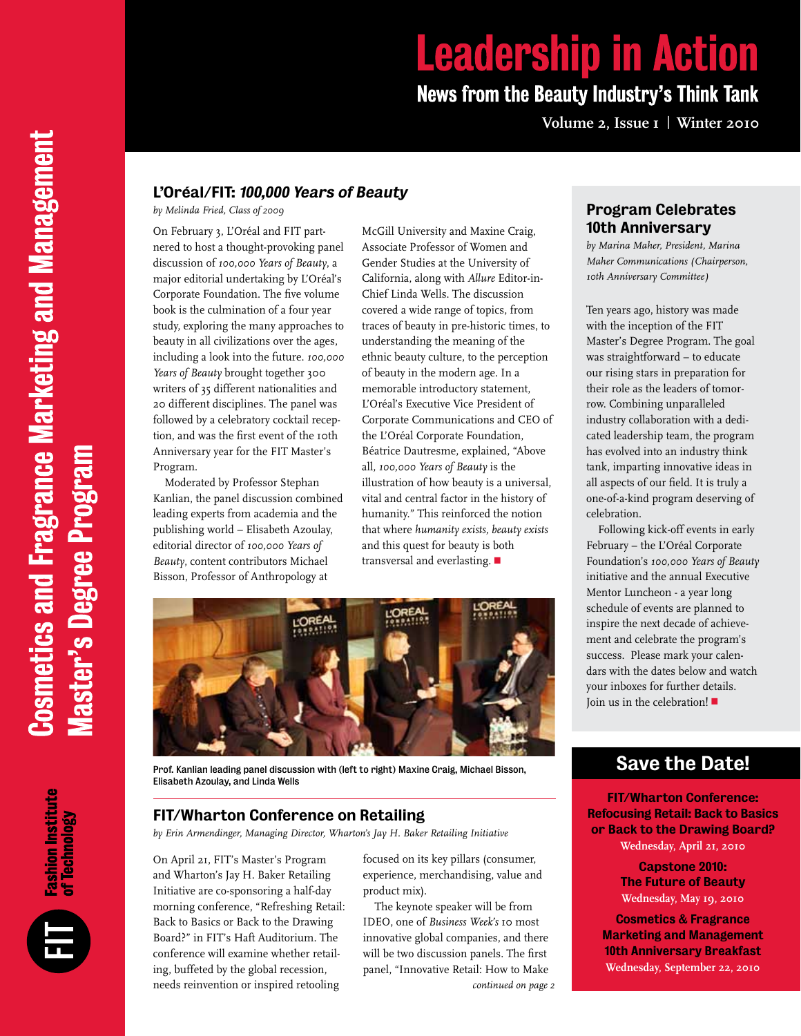# **Leadership in Action News from the Beauty Industry's Think Tank**

**Volume 2, Issue 1 | Winter 2010**

#### L'Oréal/FIT: 100,000 Years of Beauty

*by Melinda Fried, Class of 2009* 

On February 3, L'Oréal and FIT partnered to host a thought-provoking panel discussion of *100,000 Years of Beauty*, a major editorial undertaking by L'Oréal's Corporate Foundation. The five volume book is the culmination of a four year study, exploring the many approaches to beauty in all civilizations over the ages, including a look into the future. *100,000 Years of Beauty* brought together 300 writers of 35 different nationalities and 20 different disciplines. The panel was followed by a celebratory cocktail reception, and was the first event of the 10th Anniversary year for the FIT Master's Program.

Moderated by Professor Stephan Kanlian, the panel discussion combined leading experts from academia and the publishing world – Elisabeth Azoulay, editorial director of *100,000 Years of Beauty*, content contributors Michael Bisson, Professor of Anthropology at

McGill University and Maxine Craig, Associate Professor of Women and Gender Studies at the University of California, along with *Allure* Editor-in-Chief Linda Wells. The discussion covered a wide range of topics, from traces of beauty in pre-historic times, to understanding the meaning of the ethnic beauty culture, to the perception of beauty in the modern age. In a memorable introductory statement, L'Oréal's Executive Vice President of Corporate Communications and CEO of the L'Oréal Corporate Foundation, Béatrice Dautresme, explained, "Above all, *100,000 Years of Beauty* is the illustration of how beauty is a universal, vital and central factor in the history of humanity." This reinforced the notion that where *humanity exists, beauty exists* and this quest for beauty is both transversal and everlasting.  $\blacksquare$ 



Prof. Kanlian leading panel discussion with (left to right) Maxine Craig, Michael Bisson, Elisabeth Azoulay, and Linda Wells

#### FIT/Wharton Conference on Retailing

*by Erin Armendinger, Managing Director, Wharton's Jay H. Baker Retailing Initiative*

On April 21, FIT's Master's Program and Wharton's Jay H. Baker Retailing Initiative are co-sponsoring a half-day morning conference, "Refreshing Retail: Back to Basics or Back to the Drawing Board?" in FIT's Haft Auditorium. The conference will examine whether retailing, buffeted by the global recession, needs reinvention or inspired retooling

focused on its key pillars (consumer, experience, merchandising, value and product mix).

The keynote speaker will be from IDEO, one of *Business Week's* 10 most innovative global companies, and there will be two discussion panels. The first panel, "Innovative Retail: How to Make *continued on page 2*

## Program Celebrates 10th Anniversary

*by Marina Maher, President, Marina Maher Communications (Chairperson, 10th Anniversary Committee)*

Ten years ago, history was made with the inception of the FIT Master's Degree Program. The goal was straightforward – to educate our rising stars in preparation for their role as the leaders of tomorrow. Combining unparalleled industry collaboration with a dedicated leadership team, the program has evolved into an industry think tank, imparting innovative ideas in all aspects of our field. It is truly a one-of-a-kind program deserving of celebration.

Following kick-off events in early February – the L'Oréal Corporate Foundation's *100,000 Years of Beauty* initiative and the annual Executive Mentor Luncheon - a year long schedule of events are planned to inspire the next decade of achievement and celebrate the program's success. Please mark your calendars with the dates below and watch your inboxes for further details. Join us in the celebration!  $\blacksquare$ 

# Save the Date!

FIT/Wharton Conference: Refocusing Retail: Back to Basics or Back to the Drawing Board? **Wednesday, April 21, 2010**

> Capstone 2010: The Future of Beauty **Wednesday, May 19, 2010**

Cosmetics & Fragrance Marketing and Management 10th Anniversary Breakfast **Wednesday, September 22, 2010**

**Fashion Institute<br>of Technology**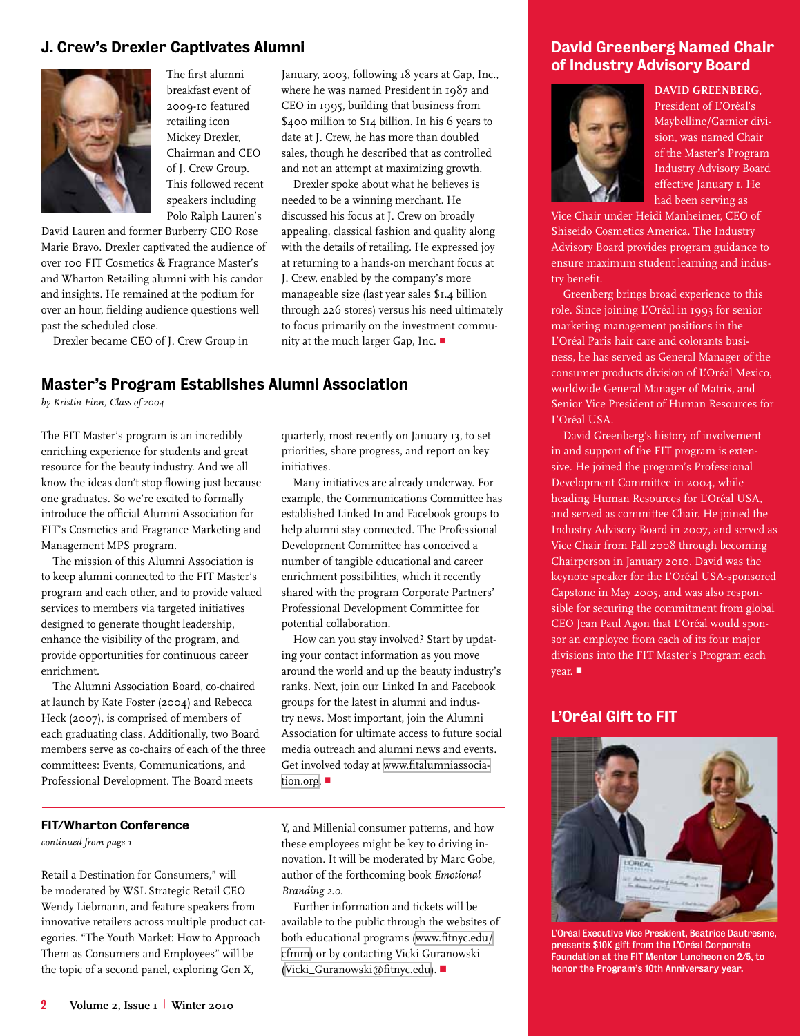#### J. Crew's Drexler Captivates Alumni



The first alumni breakfast event of 2009-10 featured retailing icon Mickey Drexler, Chairman and CEO of J. Crew Group. This followed recent speakers including Polo Ralph Lauren's

David Lauren and former Burberry CEO Rose Marie Bravo. Drexler captivated the audience of over 100 FIT Cosmetics & Fragrance Master's and Wharton Retailing alumni with his candor and insights. He remained at the podium for over an hour, fielding audience questions well past the scheduled close.

Drexler became CEO of J. Crew Group in

January, 2003, following 18 years at Gap, Inc., where he was named President in 1987 and CEO in 1995, building that business from \$400 million to \$14 billion. In his 6 years to date at J. Crew, he has more than doubled sales, though he described that as controlled and not an attempt at maximizing growth.

Drexler spoke about what he believes is needed to be a winning merchant. He discussed his focus at J. Crew on broadly appealing, classical fashion and quality along with the details of retailing. He expressed joy at returning to a hands-on merchant focus at J. Crew, enabled by the company's more manageable size (last year sales \$1.4 billion through 226 stores) versus his need ultimately to focus primarily on the investment community at the much larger Gap, Inc. ■

# Master's Program Establishes Alumni Association

*by Kristin Finn, Class of 2004*

The FIT Master's program is an incredibly enriching experience for students and great resource for the beauty industry. And we all know the ideas don't stop flowing just because one graduates. So we're excited to formally introduce the official Alumni Association for FIT's Cosmetics and Fragrance Marketing and Management MPS program.

The mission of this Alumni Association is to keep alumni connected to the FIT Master's program and each other, and to provide valued services to members via targeted initiatives designed to generate thought leadership, enhance the visibility of the program, and provide opportunities for continuous career enrichment.

The Alumni Association Board, co-chaired at launch by Kate Foster (2004) and Rebecca Heck (2007), is comprised of members of each graduating class. Additionally, two Board members serve as co-chairs of each of the three committees: Events, Communications, and Professional Development. The Board meets

quarterly, most recently on January 13, to set priorities, share progress, and report on key initiatives.

Many initiatives are already underway. For example, the Communications Committee has established Linked In and Facebook groups to help alumni stay connected. The Professional Development Committee has conceived a number of tangible educational and career enrichment possibilities, which it recently shared with the program Corporate Partners' Professional Development Committee for potential collaboration.

How can you stay involved? Start by updating your contact information as you move around the world and up the beauty industry's ranks. Next, join our Linked In and Facebook groups for the latest in alumni and industry news. Most important, join the Alumni Association for ultimate access to future social media outreach and alumni news and events. Get involved today at [www.fitalumniassocia](http://www.fitalumniassociation.org)[tion.org.](http://www.fitalumniassociation.org)  $\blacksquare$ 

#### FIT/Wharton Conference

*continued from page 1*

Retail a Destination for Consumers," will be moderated by WSL Strategic Retail CEO Wendy Liebmann, and feature speakers from innovative retailers across multiple product categories. "The Youth Market: How to Approach Them as Consumers and Employees" will be the topic of a second panel, exploring Gen X,

Y, and Millenial consumer patterns, and how these employees might be key to driving innovation. It will be moderated by Marc Gobe, author of the forthcoming book *Emotional Branding 2.0*.

Further information and tickets will be available to the public through the websites of both educational programs ([www.fitnyc.edu/](http://www.fitnyc.edu/cfmm) [cfmm\)](http://www.fitnyc.edu/cfmm) or by contacting Vicki Guranowski ([Vicki\\_Guranowski@fitnyc.edu](mailto:Vicki_Guranowski@fitnyc.edu)). !

#### David Greenberg Named Chair of Industry Advisory Board



**DAVID GREENBERG**, President of L'Oréal's Maybelline/Garnier division, was named Chair of the Master's Program Industry Advisory Board effective January 1. He had been serving as

Vice Chair under Heidi Manheimer, CEO of Shiseido Cosmetics America. The Industry Advisory Board provides program guidance to ensure maximum student learning and industry benefit.

Greenberg brings broad experience to this role. Since joining L'Oréal in 1993 for senior marketing management positions in the L'Oréal Paris hair care and colorants business, he has served as General Manager of the consumer products division of L'Oréal Mexico, worldwide General Manager of Matrix, and Senior Vice President of Human Resources for L'Oréal USA.

David Greenberg's history of involvement in and support of the FIT program is extensive. He joined the program's Professional Development Committee in 2004, while heading Human Resources for L'Oréal USA, and served as committee Chair. He joined the Industry Advisory Board in 2007, and served as Vice Chair from Fall 2008 through becoming Chairperson in January 2010. David was the keynote speaker for the L'Oréal USA-sponsored Capstone in May 2005, and was also responsible for securing the commitment from global CEO Jean Paul Agon that L'Oréal would sponsor an employee from each of its four major divisions into the FIT Master's Program each year.  $\blacksquare$ 

#### L'Oréal Gift to FIT



L'Oréal Executive Vice President, Beatrice Dautresme, presents \$10K gift from the L'Oréal Corporate Foundation at the FIT Mentor Luncheon on 2/5, to honor the Program's 10th Anniversary year.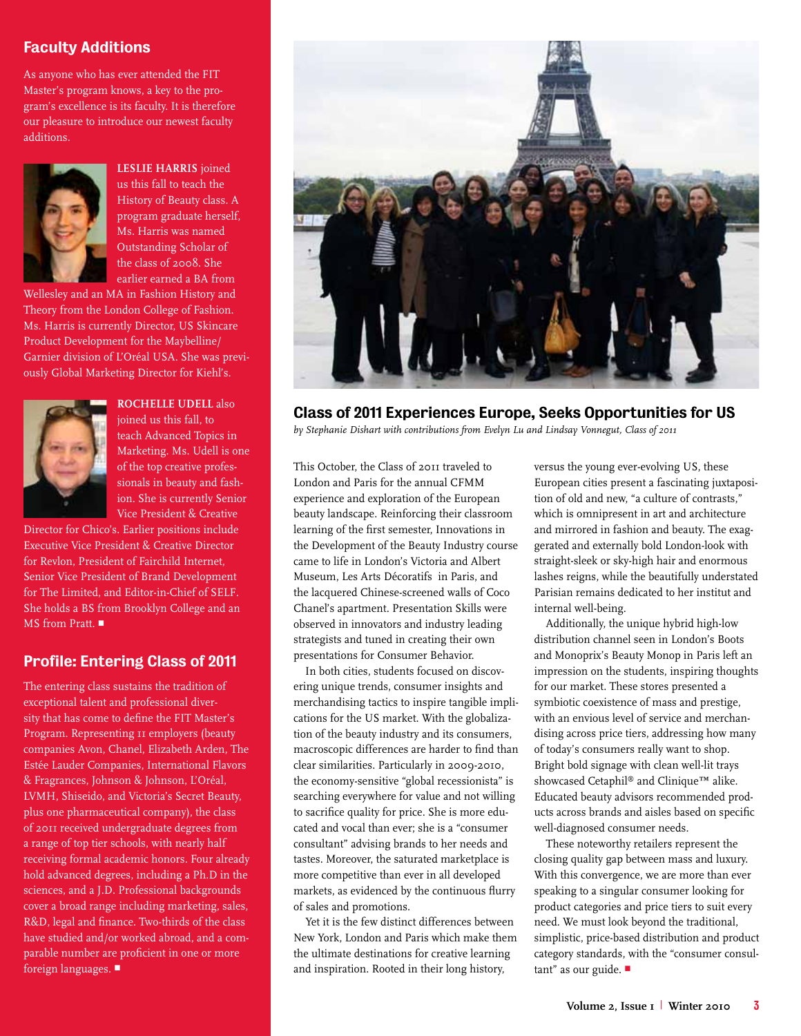#### Faculty Additions

As anyone who has ever attended the FIT Master's program knows, a key to the program's excellence is its faculty. It is therefore our pleasure to introduce our newest faculty additions.



**LESLIE HARRIS** joined us this fall to teach the History of Beauty class. A program graduate herself, Ms. Harris was named Outstanding Scholar of the class of 2008. She earlier earned a BA from

Wellesley and an MA in Fashion History and Theory from the London College of Fashion. Ms. Harris is currently Director, US Skincare Product Development for the Maybelline/ Garnier division of L'Oréal USA. She was previously Global Marketing Director for Kiehl's.



**ROCHELLE UDELL** also ioined us this fall, to teach Advanced Topics in Marketing. Ms. Udell is one of the top creative professionals in beauty and fashion. She is currently Senior Vice President & Creative

Director for Chico's. Earlier positions include Executive Vice President & Creative Director for Revlon, President of Fairchild Internet, Senior Vice President of Brand Development for The Limited, and Editor-in-Chief of SELF. She holds a BS from Brooklyn College and an MS from Pratt.

## Profile: Entering Class of 2011

The entering class sustains the tradition of exceptional talent and professional diversity that has come to define the FIT Master's Program. Representing 11 employers (beauty companies Avon, Chanel, Elizabeth Arden, The Estée Lauder Companies, International Flavors & Fragrances, Johnson & Johnson, L'Oréal, LVMH, Shiseido, and Victoria's Secret Beauty, plus one pharmaceutical company), the class of 2011 received undergraduate degrees from a range of top tier schools, with nearly half receiving formal academic honors. Four already hold advanced degrees, including a Ph.D in the sciences, and a J.D. Professional backgrounds cover a broad range including marketing, sales, R&D, legal and finance. Two-thirds of the class have studied and/or worked abroad, and a comparable number are proficient in one or more foreign languages.



#### Class of 2011 Experiences Europe, Seeks Opportunities for US

*by Stephanie Dishart with contributions from Evelyn Lu and Lindsay Vonnegut, Class of 2011*

This October, the Class of 2011 traveled to London and Paris for the annual CFMM experience and exploration of the European beauty landscape. Reinforcing their classroom learning of the first semester, Innovations in the Development of the Beauty Industry course came to life in London's Victoria and Albert Museum, Les Arts Décoratifs in Paris, and the lacquered Chinese-screened walls of Coco Chanel's apartment. Presentation Skills were observed in innovators and industry leading strategists and tuned in creating their own presentations for Consumer Behavior.

In both cities, students focused on discovering unique trends, consumer insights and merchandising tactics to inspire tangible implications for the US market. With the globalization of the beauty industry and its consumers, macroscopic differences are harder to find than clear similarities. Particularly in 2009-2010, the economy-sensitive "global recessionista" is searching everywhere for value and not willing to sacrifice quality for price. She is more educated and vocal than ever; she is a "consumer consultant" advising brands to her needs and tastes. Moreover, the saturated marketplace is more competitive than ever in all developed markets, as evidenced by the continuous flurry of sales and promotions.

Yet it is the few distinct differences between New York, London and Paris which make them the ultimate destinations for creative learning and inspiration. Rooted in their long history,

versus the young ever-evolving US, these European cities present a fascinating juxtaposition of old and new, "a culture of contrasts," which is omnipresent in art and architecture and mirrored in fashion and beauty. The exaggerated and externally bold London-look with straight-sleek or sky-high hair and enormous lashes reigns, while the beautifully understated Parisian remains dedicated to her institut and internal well-being.

Additionally, the unique hybrid high-low distribution channel seen in London's Boots and Monoprix's Beauty Monop in Paris left an impression on the students, inspiring thoughts for our market. These stores presented a symbiotic coexistence of mass and prestige, with an envious level of service and merchandising across price tiers, addressing how many of today's consumers really want to shop. Bright bold signage with clean well-lit trays showcased Cetaphil® and Clinique™ alike. Educated beauty advisors recommended products across brands and aisles based on specific well-diagnosed consumer needs.

These noteworthy retailers represent the closing quality gap between mass and luxury. With this convergence, we are more than ever speaking to a singular consumer looking for product categories and price tiers to suit every need. We must look beyond the traditional, simplistic, price-based distribution and product category standards, with the "consumer consultant" as our guide. ■